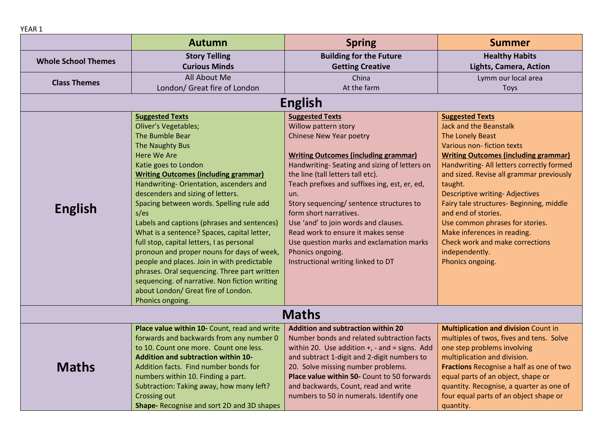|                            | <b>Autumn</b>                                 | <b>Spring</b>                                 | <b>Summer</b>                               |
|----------------------------|-----------------------------------------------|-----------------------------------------------|---------------------------------------------|
|                            | <b>Story Telling</b>                          | <b>Building for the Future</b>                | <b>Healthy Habits</b>                       |
| <b>Whole School Themes</b> | <b>Curious Minds</b>                          | <b>Getting Creative</b>                       | Lights, Camera, Action                      |
|                            | All About Me                                  | China                                         | Lymm our local area                         |
| <b>Class Themes</b>        | London/ Great fire of London                  | At the farm                                   | Toys                                        |
|                            |                                               | <b>English</b>                                |                                             |
|                            | <b>Suggested Texts</b>                        | <b>Suggested Texts</b>                        | <b>Suggested Texts</b>                      |
|                            | <b>Oliver's Vegetables;</b>                   | Willow pattern story                          | <b>Jack and the Beanstalk</b>               |
|                            | The Bumble Bear                               | Chinese New Year poetry                       | The Lonely Beast                            |
|                            | The Naughty Bus                               |                                               | Various non-fiction texts                   |
|                            | <b>Here We Are</b>                            | <b>Writing Outcomes (including grammar)</b>   | <b>Writing Outcomes (including grammar)</b> |
|                            | Katie goes to London                          | Handwriting-Seating and sizing of letters on  | Handwriting- All letters correctly formed   |
|                            | <b>Writing Outcomes (including grammar)</b>   | the line (tall letters tall etc).             | and sized. Revise all grammar previously    |
|                            | Handwriting-Orientation, ascenders and        | Teach prefixes and suffixes ing, est, er, ed, | taught.                                     |
|                            | descenders and sizing of letters.             | un.                                           | <b>Descriptive writing-Adjectives</b>       |
| <b>English</b>             | Spacing between words. Spelling rule add      | Story sequencing/ sentence structures to      | Fairy tale structures- Beginning, middle    |
|                            | $s$ /es                                       | form short narratives.                        | and end of stories.                         |
|                            | Labels and captions (phrases and sentences)   | Use 'and' to join words and clauses.          | Use common phrases for stories.             |
|                            | What is a sentence? Spaces, capital letter,   | Read work to ensure it makes sense            | Make inferences in reading.                 |
|                            | full stop, capital letters, I as personal     | Use question marks and exclamation marks      | Check work and make corrections             |
|                            | pronoun and proper nouns for days of week,    | Phonics ongoing.                              | independently.                              |
|                            | people and places. Join in with predictable   | Instructional writing linked to DT            | Phonics ongoing.                            |
|                            | phrases. Oral sequencing. Three part written  |                                               |                                             |
|                            | sequencing. of narrative. Non fiction writing |                                               |                                             |
|                            | about London/ Great fire of London.           |                                               |                                             |
|                            | Phonics ongoing.                              |                                               |                                             |
|                            |                                               | <b>Maths</b>                                  |                                             |
|                            | Place value within 10- Count, read and write  | <b>Addition and subtraction within 20</b>     | <b>Multiplication and division Count in</b> |
|                            | forwards and backwards from any number 0      | Number bonds and related subtraction facts    | multiples of twos, fives and tens. Solve    |

to 10. Count one more. Count one less. **Addition and subtraction within 10-** Addition facts. Find number bonds for numbers within 10. Finding a part.

Subtraction: Taking away, how many left?

**Shape-** Recognise and sort 2D and 3D shapes

Crossing out

within 20. Use addition +, - and = signs. Add and subtract 1-digit and 2-digit numbers to 20. Solve missing number problems. **Place value within 50-** Count to 50 forwards and backwards, Count, read and write numbers to 50 in numerals. Identify one **division** Count in multiples of twos, fives and tens. Solve one step problems involving multiplication and division. **Fractions** Recognise a half as one of two equal parts of an object, shape or quantity. Recognise, a quarter as one of four equal parts of an object shape or quantity.

YEAR 1

**Maths**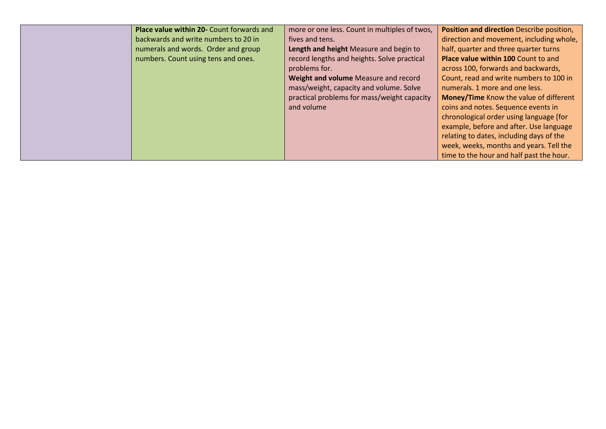| half, quarter and three quarter turns<br>numerals and words. Order and group<br>Length and height Measure and begin to<br>record lengths and heights. Solve practical<br>numbers. Count using tens and ones.<br><b>Place value within 100 Count to and</b> | direction and movement, including whole, |
|------------------------------------------------------------------------------------------------------------------------------------------------------------------------------------------------------------------------------------------------------------|------------------------------------------|
| across 100, forwards and backwards,<br>problems for.                                                                                                                                                                                                       |                                          |
| Count, read and write numbers to 100 in<br>Weight and volume Measure and record<br>mass/weight, capacity and volume. Solve<br>numerals, 1 more and one less.                                                                                               |                                          |
| practical problems for mass/weight capacity<br>Money/Time Know the value of different<br>coins and notes. Sequence events in<br>and volume                                                                                                                 |                                          |
| chronological order using language [for<br>example, before and after. Use language                                                                                                                                                                         |                                          |
| relating to dates, including days of the<br>week, weeks, months and years. Tell the<br>time to the hour and half past the hour.                                                                                                                            |                                          |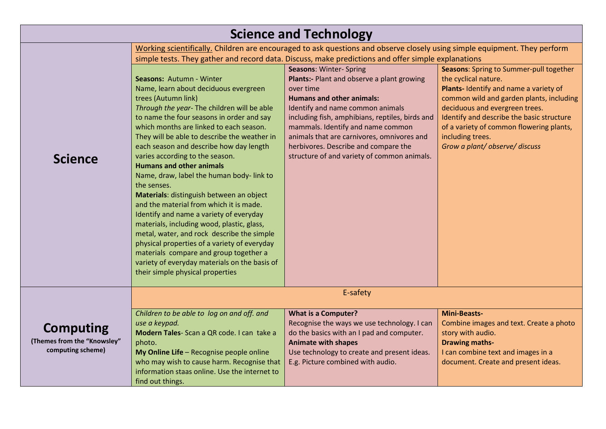| <b>Science and Technology</b>                                        |                                                                                                                                                                                                                                                                                                                                                                                                                                                                                                                                                                                                                                                                                                                                                                                                                                                                          |                                                                                                                                                                                                                                                                                                                                                                                                |                                                                                                                                                                                                                                                                                                                                      |
|----------------------------------------------------------------------|--------------------------------------------------------------------------------------------------------------------------------------------------------------------------------------------------------------------------------------------------------------------------------------------------------------------------------------------------------------------------------------------------------------------------------------------------------------------------------------------------------------------------------------------------------------------------------------------------------------------------------------------------------------------------------------------------------------------------------------------------------------------------------------------------------------------------------------------------------------------------|------------------------------------------------------------------------------------------------------------------------------------------------------------------------------------------------------------------------------------------------------------------------------------------------------------------------------------------------------------------------------------------------|--------------------------------------------------------------------------------------------------------------------------------------------------------------------------------------------------------------------------------------------------------------------------------------------------------------------------------------|
|                                                                      | Working scientifically. Children are encouraged to ask questions and observe closely using simple equipment. They perform<br>simple tests. They gather and record data. Discuss, make predictions and offer simple explanations                                                                                                                                                                                                                                                                                                                                                                                                                                                                                                                                                                                                                                          |                                                                                                                                                                                                                                                                                                                                                                                                |                                                                                                                                                                                                                                                                                                                                      |
| <b>Science</b>                                                       | Seasons: Autumn - Winter<br>Name, learn about deciduous evergreen<br>trees (Autumn link)<br>Through the year- The children will be able<br>to name the four seasons in order and say<br>which months are linked to each season.<br>They will be able to describe the weather in<br>each season and describe how day length<br>varies according to the season.<br><b>Humans and other animals</b><br>Name, draw, label the human body-link to<br>the senses.<br>Materials: distinguish between an object<br>and the material from which it is made.<br>Identify and name a variety of everyday<br>materials, including wood, plastic, glass,<br>metal, water, and rock describe the simple<br>physical properties of a variety of everyday<br>materials compare and group together a<br>variety of everyday materials on the basis of<br>their simple physical properties | <b>Seasons: Winter- Spring</b><br>Plants:- Plant and observe a plant growing<br>over time<br><b>Humans and other animals:</b><br>Identify and name common animals<br>including fish, amphibians, reptiles, birds and<br>mammals. Identify and name common<br>animals that are carnivores, omnivores and<br>herbivores. Describe and compare the<br>structure of and variety of common animals. | Seasons: Spring to Summer-pull together<br>the cyclical nature.<br>Plants- Identify and name a variety of<br>common wild and garden plants, including<br>deciduous and evergreen trees.<br>Identify and describe the basic structure<br>of a variety of common flowering plants,<br>including trees.<br>Grow a plant/observe/discuss |
|                                                                      | E-safety                                                                                                                                                                                                                                                                                                                                                                                                                                                                                                                                                                                                                                                                                                                                                                                                                                                                 |                                                                                                                                                                                                                                                                                                                                                                                                |                                                                                                                                                                                                                                                                                                                                      |
| <b>Computing</b><br>(Themes from the "Knowsley"<br>computing scheme) | Children to be able to log on and off. and<br>use a keypad.<br>Modern Tales-Scan a QR code. I can take a<br>photo.<br>My Online Life - Recognise people online<br>who may wish to cause harm. Recognise that<br>information staas online. Use the internet to<br>find out things.                                                                                                                                                                                                                                                                                                                                                                                                                                                                                                                                                                                        | <b>What is a Computer?</b><br>Recognise the ways we use technology. I can<br>do the basics with an I pad and computer.<br><b>Animate with shapes</b><br>Use technology to create and present ideas.<br>E.g. Picture combined with audio.                                                                                                                                                       | <b>Mini-Beasts-</b><br>Combine images and text. Create a photo<br>story with audio.<br><b>Drawing maths-</b><br>I can combine text and images in a<br>document. Create and present ideas.                                                                                                                                            |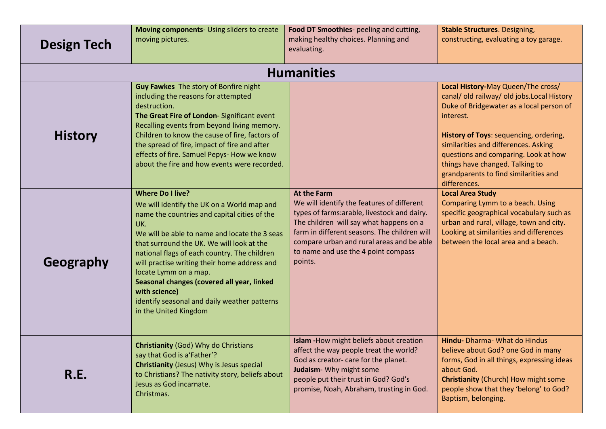| <b>Design Tech</b> | Moving components- Using sliders to create<br>moving pictures.                                                                                                                                                                                                                                                                                                                                                                                                                              | Food DT Smoothies- peeling and cutting,<br>making healthy choices. Planning and<br>evaluating.                                                                                                                                                                                                             | <b>Stable Structures. Designing,</b><br>constructing, evaluating a toy garage.                                                                                                                                                                                                                                                                                |  |
|--------------------|---------------------------------------------------------------------------------------------------------------------------------------------------------------------------------------------------------------------------------------------------------------------------------------------------------------------------------------------------------------------------------------------------------------------------------------------------------------------------------------------|------------------------------------------------------------------------------------------------------------------------------------------------------------------------------------------------------------------------------------------------------------------------------------------------------------|---------------------------------------------------------------------------------------------------------------------------------------------------------------------------------------------------------------------------------------------------------------------------------------------------------------------------------------------------------------|--|
| <b>Humanities</b>  |                                                                                                                                                                                                                                                                                                                                                                                                                                                                                             |                                                                                                                                                                                                                                                                                                            |                                                                                                                                                                                                                                                                                                                                                               |  |
| <b>History</b>     | Guy Fawkes The story of Bonfire night<br>including the reasons for attempted<br>destruction.<br>The Great Fire of London-Significant event<br>Recalling events from beyond living memory.<br>Children to know the cause of fire, factors of<br>the spread of fire, impact of fire and after<br>effects of fire. Samuel Pepys- How we know<br>about the fire and how events were recorded.                                                                                                   |                                                                                                                                                                                                                                                                                                            | Local History-May Queen/The cross/<br>canal/old railway/old jobs.Local History<br>Duke of Bridgewater as a local person of<br>interest.<br>History of Toys: sequencing, ordering,<br>similarities and differences. Asking<br>questions and comparing. Look at how<br>things have changed. Talking to<br>grandparents to find similarities and<br>differences. |  |
| Geography          | <b>Where Do I live?</b><br>We will identify the UK on a World map and<br>name the countries and capital cities of the<br>UK.<br>We will be able to name and locate the 3 seas<br>that surround the UK. We will look at the<br>national flags of each country. The children<br>will practise writing their home address and<br>locate Lymm on a map.<br>Seasonal changes (covered all year, linked<br>with science)<br>identify seasonal and daily weather patterns<br>in the United Kingdom | <b>At the Farm</b><br>We will identify the features of different<br>types of farms: arable, livestock and dairy.<br>The children will say what happens on a<br>farm in different seasons. The children will<br>compare urban and rural areas and be able<br>to name and use the 4 point compass<br>points. | <b>Local Area Study</b><br>Comparing Lymm to a beach. Using<br>specific geographical vocabulary such as<br>urban and rural, village, town and city.<br>Looking at similarities and differences<br>between the local area and a beach.                                                                                                                         |  |
| R.E.               | <b>Christianity (God) Why do Christians</b><br>say that God is a'Father'?<br><b>Christianity (Jesus) Why is Jesus special</b><br>to Christians? The nativity story, beliefs about<br>Jesus as God incarnate.<br>Christmas.                                                                                                                                                                                                                                                                  | Islam - How might beliefs about creation<br>affect the way people treat the world?<br>God as creator- care for the planet.<br>Judaism- Why might some<br>people put their trust in God? God's<br>promise, Noah, Abraham, trusting in God.                                                                  | Hindu- Dharma- What do Hindus<br>believe about God? one God in many<br>forms, God in all things, expressing ideas<br>about God.<br><b>Christianity (Church) How might some</b><br>people show that they 'belong' to God?<br>Baptism, belonging.                                                                                                               |  |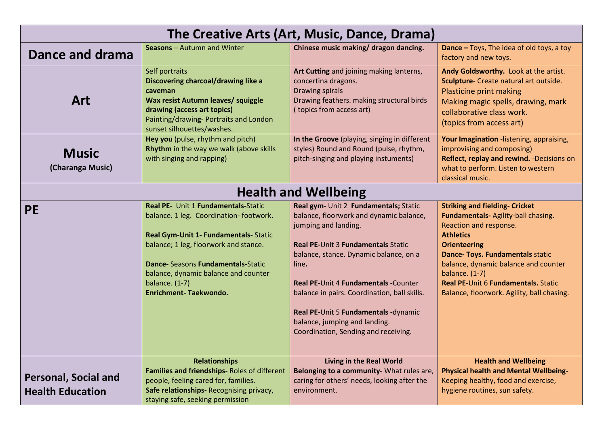| The Creative Arts (Art, Music, Dance, Drama)           |                                                                                                                                                                                                                                                                                            |                                                                                                                                                                                                                                                                                                                                                                                                                   |                                                                                                                                                                                                                                                                                                                                        |
|--------------------------------------------------------|--------------------------------------------------------------------------------------------------------------------------------------------------------------------------------------------------------------------------------------------------------------------------------------------|-------------------------------------------------------------------------------------------------------------------------------------------------------------------------------------------------------------------------------------------------------------------------------------------------------------------------------------------------------------------------------------------------------------------|----------------------------------------------------------------------------------------------------------------------------------------------------------------------------------------------------------------------------------------------------------------------------------------------------------------------------------------|
| Dance and drama                                        | <b>Seasons</b> – Autumn and Winter                                                                                                                                                                                                                                                         | Chinese music making/ dragon dancing.                                                                                                                                                                                                                                                                                                                                                                             | <b>Dance</b> – Toys, The idea of old toys, a toy<br>factory and new toys.                                                                                                                                                                                                                                                              |
| Art                                                    | Self portraits<br>Discovering charcoal/drawing like a<br>caveman<br>Wax resist Autumn leaves/ squiggle<br>drawing (access art topics)<br>Painting/drawing-Portraits and London<br>sunset silhouettes/washes.                                                                               | Art Cutting and joining making lanterns,<br>concertina dragons.<br>Drawing spirals<br>Drawing feathers. making structural birds<br>(topics from access art)                                                                                                                                                                                                                                                       | Andy Goldsworthy. Look at the artist.<br>Sculpture- Create natural art outside.<br>Plasticine print making<br>Making magic spells, drawing, mark<br>collaborative class work.<br>(topics from access art)                                                                                                                              |
| <b>Music</b><br>(Charanga Music)                       | Hey you (pulse, rhythm and pitch)<br>Rhythm in the way we walk (above skills<br>with singing and rapping)                                                                                                                                                                                  | In the Groove (playing, singing in different<br>styles) Round and Round (pulse, rhythm,<br>pitch-singing and playing instuments)                                                                                                                                                                                                                                                                                  | Your Imagination -listening, appraising,<br>improvising and composing)<br>Reflect, replay and rewind. -Decisions on<br>what to perform. Listen to western<br>classical music.                                                                                                                                                          |
|                                                        |                                                                                                                                                                                                                                                                                            | <b>Health and Wellbeing</b>                                                                                                                                                                                                                                                                                                                                                                                       |                                                                                                                                                                                                                                                                                                                                        |
| <b>PE</b>                                              | Real PE- Unit 1 Fundamentals-Static<br>balance. 1 leg. Coordination-footwork.<br>Real Gym-Unit 1- Fundamentals- Static<br>balance; 1 leg, floorwork and stance.<br>Dance- Seasons Fundamentals-Static<br>balance, dynamic balance and counter<br>balance. $(1-7)$<br>Enrichment-Taekwondo. | Real gym- Unit 2 Fundamentals; Static<br>balance, floorwork and dynamic balance,<br>jumping and landing.<br><b>Real PE-Unit 3 Fundamentals Static</b><br>balance, stance. Dynamic balance, on a<br>line.<br>Real PE-Unit 4 Fundamentals -Counter<br>balance in pairs. Coordination, ball skills.<br>Real PE-Unit 5 Fundamentals -dynamic<br>balance, jumping and landing.<br>Coordination, Sending and receiving. | <b>Striking and fielding- Cricket</b><br>Fundamentals- Agility-ball chasing.<br>Reaction and response.<br><b>Athletics</b><br><b>Orienteering</b><br>Dance- Toys. Fundamentals static<br>balance, dynamic balance and counter<br>balance. $(1-7)$<br>Real PE-Unit 6 Fundamentals. Static<br>Balance, floorwork. Agility, ball chasing. |
| <b>Personal, Social and</b><br><b>Health Education</b> | <b>Relationships</b><br>Families and friendships- Roles of different<br>people, feeling cared for, families.<br>Safe relationships-Recognising privacy,<br>staying safe, seeking permission                                                                                                | <b>Living in the Real World</b><br>Belonging to a community- What rules are,<br>caring for others' needs, looking after the<br>environment.                                                                                                                                                                                                                                                                       | <b>Health and Wellbeing</b><br><b>Physical health and Mental Wellbeing-</b><br>Keeping healthy, food and exercise,<br>hygiene routines, sun safety.                                                                                                                                                                                    |